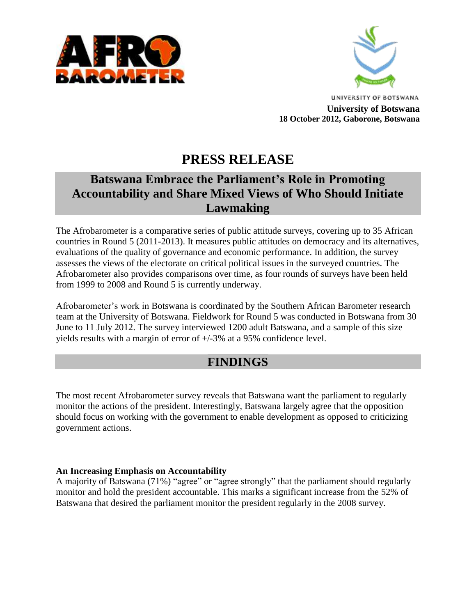



**UNIVERSITY OF BOTSWANA University of Botswana 18 October 2012, Gaborone, Botswana**

# **PRESS RELEASE**

# **Batswana Embrace the Parliament's Role in Promoting Accountability and Share Mixed Views of Who Should Initiate Lawmaking**

The Afrobarometer is a comparative series of public attitude surveys, covering up to 35 African countries in Round 5 (2011-2013). It measures public attitudes on democracy and its alternatives, evaluations of the quality of governance and economic performance. In addition, the survey assesses the views of the electorate on critical political issues in the surveyed countries. The Afrobarometer also provides comparisons over time, as four rounds of surveys have been held from 1999 to 2008 and Round 5 is currently underway.

Afrobarometer's work in Botswana is coordinated by the Southern African Barometer research team at the University of Botswana. Fieldwork for Round 5 was conducted in Botswana from 30 June to 11 July 2012. The survey interviewed 1200 adult Batswana, and a sample of this size yields results with a margin of error of +/-3% at a 95% confidence level.

## **FINDINGS**

The most recent Afrobarometer survey reveals that Batswana want the parliament to regularly monitor the actions of the president. Interestingly, Batswana largely agree that the opposition should focus on working with the government to enable development as opposed to criticizing government actions.

### **An Increasing Emphasis on Accountability**

A majority of Batswana (71%) "agree" or "agree strongly" that the parliament should regularly monitor and hold the president accountable. This marks a significant increase from the 52% of Batswana that desired the parliament monitor the president regularly in the 2008 survey.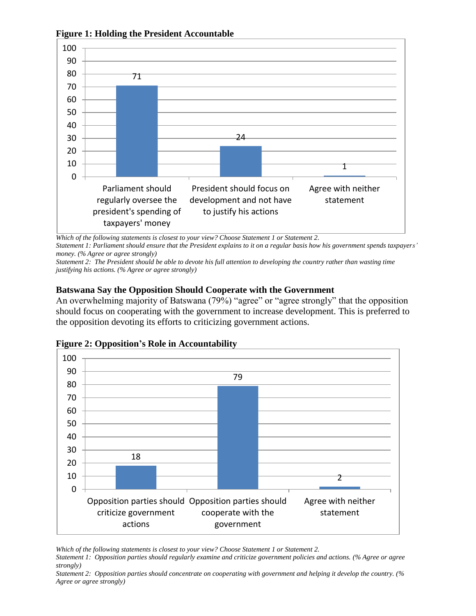

**Figure 1: Holding the President Accountable**

*Which of the following statements is closest to your view? Choose Statement 1 or Statement 2.*

*Statement 1: Parliament should ensure that the President explains to it on a regular basis how his government spends taxpayers' money. (% Agree or agree strongly)*

*Statement 2: The President should be able to devote his full attention to developing the country rather than wasting time justifying his actions. (% Agree or agree strongly)*

#### **Batswana Say the Opposition Should Cooperate with the Government**

An overwhelming majority of Batswana (79%) "agree" or "agree strongly" that the opposition should focus on cooperating with the government to increase development. This is preferred to the opposition devoting its efforts to criticizing government actions.



#### **Figure 2: Opposition's Role in Accountability**

*Which of the following statements is closest to your view? Choose Statement 1 or Statement 2.*

*Statement 1: Opposition parties should regularly examine and criticize government policies and actions. (% Agree or agree strongly)*

*Statement 2: Opposition parties should concentrate on cooperating with government and helping it develop the country. (% Agree or agree strongly)*